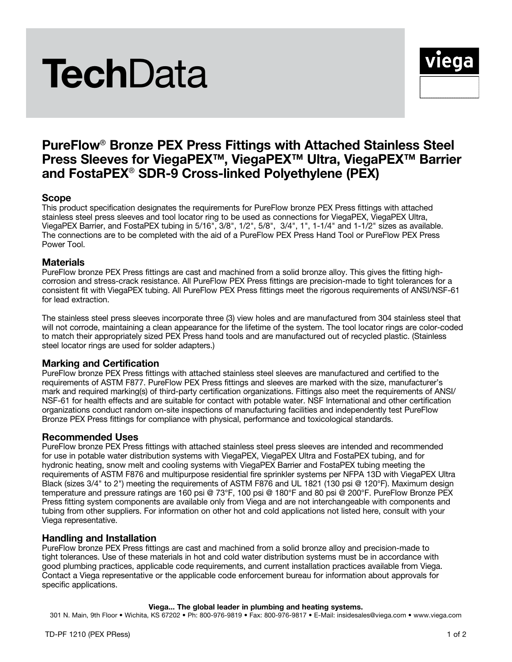

# PureFlow® Bronze PEX Press Fittings with Attached Stainless Steel Press Sleeves for ViegaPEX™, ViegaPEX™ Ultra, ViegaPEX™ Barrier and FostaPEX® SDR-9 Cross-linked Polyethylene (PEX)

# Scope

This product specification designates the requirements for PureFlow bronze PEX Press fittings with attached stainless steel press sleeves and tool locator ring to be used as connections for ViegaPEX, ViegaPEX Ultra, ViegaPEX Barrier, and FostaPEX tubing in 5/16", 3/8", 1/2", 5/8", 3/4", 1", 1-1/4" and 1-1/2" sizes as available. The connections are to be completed with the aid of a PureFlow PEX Press Hand Tool or PureFlow PEX Press Power Tool.

# **Materials**

PureFlow bronze PEX Press fittings are cast and machined from a solid bronze alloy. This gives the fitting highcorrosion and stress-crack resistance. All PureFlow PEX Press fittings are precision-made to tight tolerances for a consistent fit with ViegaPEX tubing. All PureFlow PEX Press fittings meet the rigorous requirements of ANSI/NSF-61 for lead extraction.

The stainless steel press sleeves incorporate three (3) view holes and are manufactured from 304 stainless steel that will not corrode, maintaining a clean appearance for the lifetime of the system. The tool locator rings are color-coded to match their appropriately sized PEX Press hand tools and are manufactured out of recycled plastic. (Stainless steel locator rings are used for solder adapters.)

# Marking and Certification

PureFlow bronze PEX Press fittings with attached stainless steel sleeves are manufactured and certified to the requirements of ASTM F877. PureFlow PEX Press fittings and sleeves are marked with the size, manufacturer's mark and required marking(s) of third-party certification organizations. Fittings also meet the requirements of ANSI/ NSF-61 for health effects and are suitable for contact with potable water. NSF International and other certification organizations conduct random on-site inspections of manufacturing facilities and independently test PureFlow Bronze PEX Press fittings for compliance with physical, performance and toxicological standards.

# Recommended Uses

PureFlow bronze PEX Press fittings with attached stainless steel press sleeves are intended and recommended for use in potable water distribution systems with ViegaPEX, ViegaPEX Ultra and FostaPEX tubing, and for hydronic heating, snow melt and cooling systems with ViegaPEX Barrier and FostaPEX tubing meeting the requirements of ASTM F876 and multipurpose residential fire sprinkler systems per NFPA 13D with ViegaPEX Ultra Black (sizes 3/4" to 2") meeting the requirements of ASTM F876 and UL 1821 (130 psi @ 120°F). Maximum design temperature and pressure ratings are 160 psi @ 73°F, 100 psi @ 180°F and 80 psi @ 200°F. PureFlow Bronze PEX Press fitting system components are available only from Viega and are not interchangeable with components and tubing from other suppliers. For information on other hot and cold applications not listed here, consult with your Viega representative.

### Handling and Installation

PureFlow bronze PEX Press fittings are cast and machined from a solid bronze alloy and precision-made to tight tolerances. Use of these materials in hot and cold water distribution systems must be in accordance with good plumbing practices, applicable code requirements, and current installation practices available from Viega. Contact a Viega representative or the applicable code enforcement bureau for information about approvals for specific applications.

#### Viega... The global leader in plumbing and heating systems.

301 N. Main, 9th Floor • Wichita, KS 67202 • Ph: 800-976-9819 • Fax: 800-976-9817 • E-Mail: insidesales@viega.com • www.viega.com